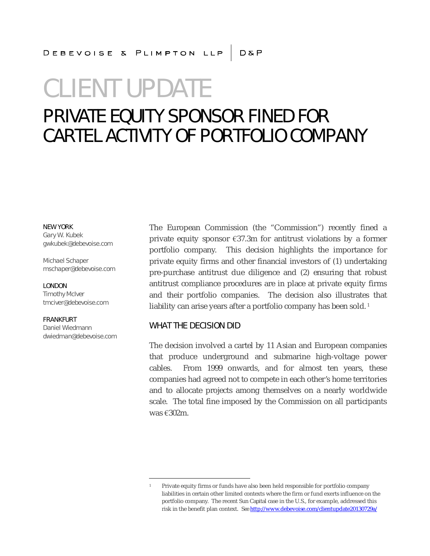### DEBEVOISE & PLIMPTON LLP | D&P

# CLIENT UPDATE

### PRIVATE EQUITY SPONSOR FINED FOR CARTEL ACTIVITY OF PORTFOLIO COMPANY

NEW YORK Gary W. Kubek gwkubek@debevoise.com

Michael Schaper mschaper@debevoise.com

LONDON Timothy McIver tmciver@debevoise.com

FRANKFURT Daniel Wiedmann dwiedman@debevoise.com The European Commission (the "Commission") recently fined a private equity sponsor €37.3m for antitrust violations by a former portfolio company. This decision highlights the importance for private equity firms and other financial investors of (1) undertaking pre-purchase antitrust due diligence and (2) ensuring that robust antitrust compliance procedures are in place at private equity firms and their portfolio companies. The decision also illustrates that liability can arise years after a portfolio company has been sold.<sup>1</sup>

#### WHAT THE DECISION DID

The decision involved a cartel by 11 Asian and European companies that produce underground and submarine high-voltage power cables. From 1999 onwards, and for almost ten years, these companies had agreed not to compete in each other's home territories and to allocate projects among themselves on a nearly worldwide scale. The total fine imposed by the Commission on all participants was €302m.

<sup>1</sup> Private equity firms or funds have also been held responsible for portfolio company liabilities in certain other limited contexts where the firm or fund exerts influence on the portfolio company. The recent *Sun Capital* case in the U.S., for example, addressed this risk in the benefit plan context. *See* http://www.debevoise.com/clientupdate20130729a/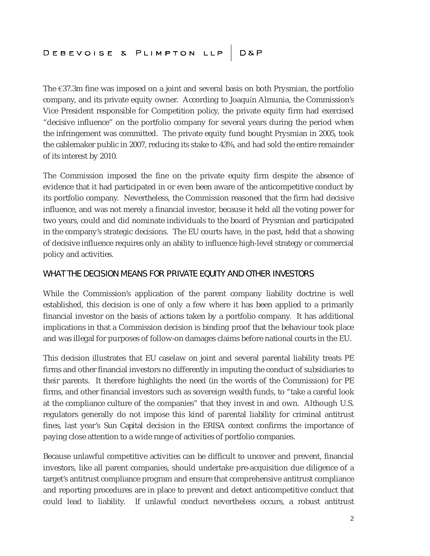The  $\epsilon$ 37.3m fine was imposed on a joint and several basis on both Prysmian, the portfolio company, and its private equity owner. According to Joaquín Almunia, the Commission's Vice President responsible for Competition policy, the private equity firm had exercised "decisive influence" on the portfolio company for several years during the period when the infringement was committed. The private equity fund bought Prysmian in 2005, took the cablemaker public in 2007, reducing its stake to 43%, and had sold the entire remainder of its interest by 2010.

The Commission imposed the fine on the private equity firm despite the absence of evidence that it had participated in or even been aware of the anticompetitive conduct by its portfolio company. Nevertheless, the Commission reasoned that the firm had decisive influence, and was not merely a financial investor, because it held all the voting power for two years, could and did nominate individuals to the board of Prysmian and participated in the company's strategic decisions. The EU courts have, in the past, held that a showing of decisive influence requires only an ability to influence high-level strategy or commercial policy and activities.

#### WHAT THE DECISION MEANS FOR PRIVATE EQUITY AND OTHER INVESTORS

While the Commission's application of the parent company liability doctrine is well established, this decision is one of only a few where it has been applied to a primarily financial investor on the basis of actions taken by a portfolio company. It has additional implications in that a Commission decision is binding proof that the behaviour took place and was illegal for purposes of follow-on damages claims before national courts in the EU.

This decision illustrates that EU caselaw on joint and several parental liability treats PE firms and other financial investors no differently in imputing the conduct of subsidiaries to their parents. It therefore highlights the need (in the words of the Commission) for PE firms, and other financial investors such as sovereign wealth funds, to "take a careful look at the compliance culture of the companies" that they invest in and own. Although U.S. regulators generally do not impose this kind of parental liability for criminal antitrust fines, last year's *Sun Capital* decision in the ERISA context confirms the importance of paying close attention to a wide range of activities of portfolio companies.

Because unlawful competitive activities can be difficult to uncover and prevent, financial investors, like all parent companies, should undertake pre-acquisition due diligence of a target's antitrust compliance program and ensure that comprehensive antitrust compliance and reporting procedures are in place to prevent and detect anticompetitive conduct that could lead to liability. If unlawful conduct nevertheless occurs, a robust antitrust